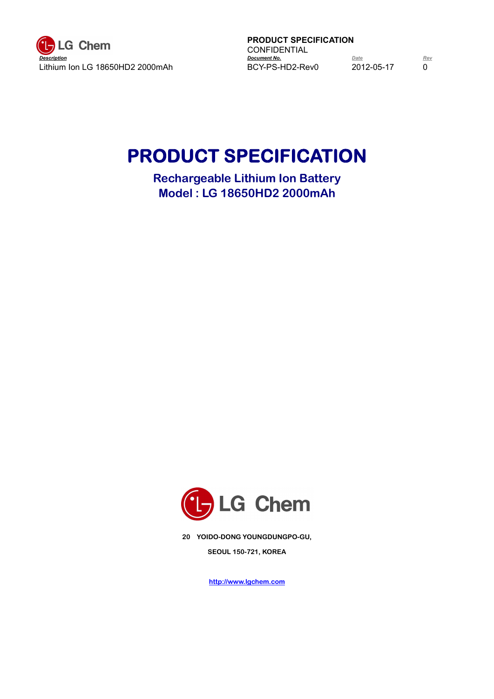

**PRODUCT SPECIFICATION** CONFIDENTIAL<br>Document No.

# **PRODUCT SPECIFICATION**

**Rechargeable Lithium Ion Battery Model : LG 18650HD2 2000mAh**



**20 YOIDO-DONG YOUNGDUNGPO-GU, SEOUL 150-721, KOREA**

**http://www.lgchem.com**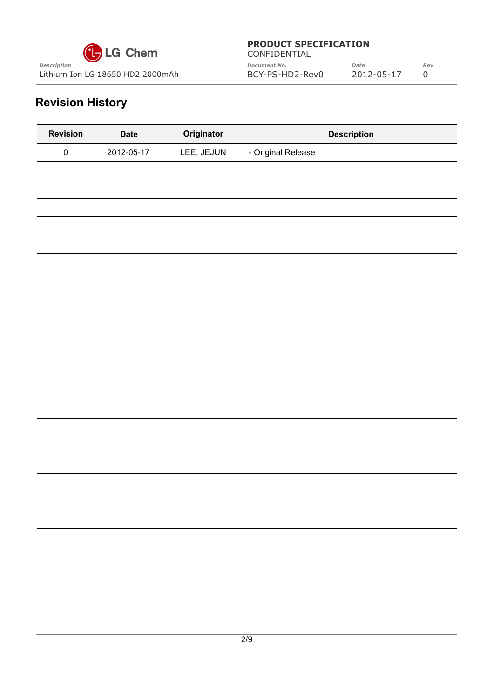

| $\mathbf{G}$ LG Chem             | CONFIDENTIAL        |            |            |
|----------------------------------|---------------------|------------|------------|
| Description                      | <b>Document No.</b> | Date       | <u>Rev</u> |
| Lithium Ion LG 18650 HD2 2000mAh | BCY-PS-HD2-Rev0     | 2012-05-17 |            |

# **Revision History**

| <b>Revision</b> | <b>Date</b> | Originator | <b>Description</b> |
|-----------------|-------------|------------|--------------------|
| ${\bf 0}$       | 2012-05-17  | LEE, JEJUN | - Original Release |
|                 |             |            |                    |
|                 |             |            |                    |
|                 |             |            |                    |
|                 |             |            |                    |
|                 |             |            |                    |
|                 |             |            |                    |
|                 |             |            |                    |
|                 |             |            |                    |
|                 |             |            |                    |
|                 |             |            |                    |
|                 |             |            |                    |
|                 |             |            |                    |
|                 |             |            |                    |
|                 |             |            |                    |
|                 |             |            |                    |
|                 |             |            |                    |
|                 |             |            |                    |
|                 |             |            |                    |
|                 |             |            |                    |
|                 |             |            |                    |
|                 |             |            |                    |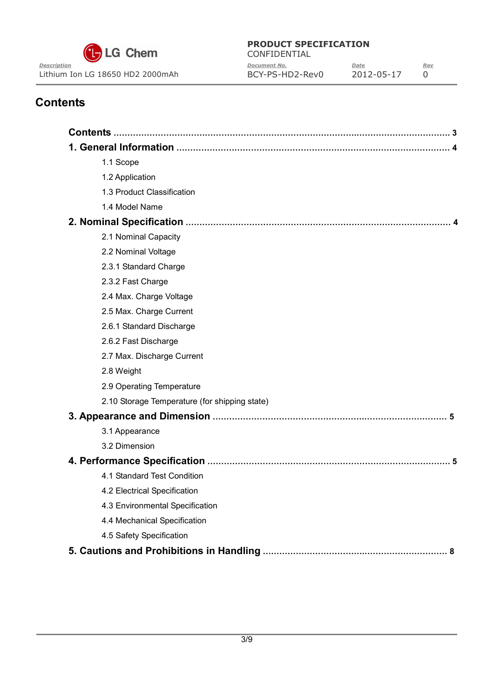

CONFIDENTIAL *Description Document No. Date Rev* Lithium Ion LG 18650 HD2 2000mAh BCY-PS-HD2-Rev0 2012-05-17 0

# **Contents**

| 1.1 Scope                                     |
|-----------------------------------------------|
| 1.2 Application                               |
| 1.3 Product Classification                    |
| 1.4 Model Name                                |
|                                               |
| 2.1 Nominal Capacity                          |
| 2.2 Nominal Voltage                           |
| 2.3.1 Standard Charge                         |
| 2.3.2 Fast Charge                             |
| 2.4 Max. Charge Voltage                       |
| 2.5 Max. Charge Current                       |
| 2.6.1 Standard Discharge                      |
| 2.6.2 Fast Discharge                          |
| 2.7 Max. Discharge Current                    |
| 2.8 Weight                                    |
| 2.9 Operating Temperature                     |
| 2.10 Storage Temperature (for shipping state) |
|                                               |
| 3.1 Appearance                                |
| 3.2 Dimension                                 |
|                                               |
| 4.1 Standard Test Condition                   |
| 4.2 Electrical Specification                  |
| 4.3 Environmental Specification               |
| 4.4 Mechanical Specification                  |
| 4.5 Safety Specification                      |
|                                               |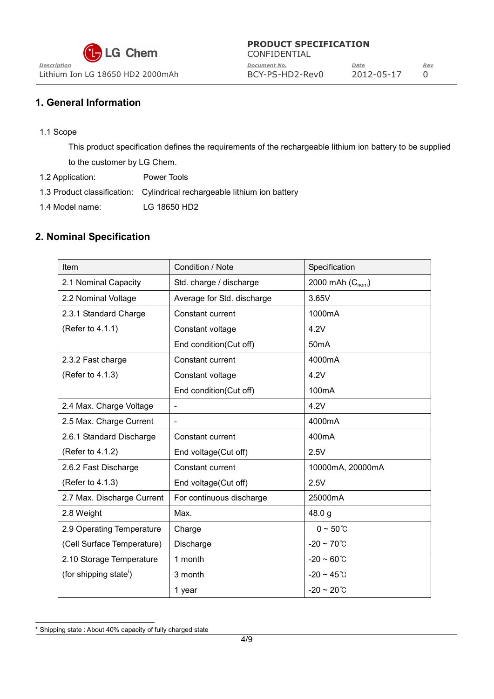**LG Chem** 

#### **PRODUCT SPECIFICATION**

CONFIDENTIAL *Description Document No. Date Rev* Lithium Ion LG 18650 HD2 2000mAh BCY-PS-HD2-Rev0 2012-05-17 0

## **1. General Information**

1.1 Scope

This product specification defines the requirements of the rechargeable lithium ion battery to be supplied to the customer by LG Chem.

- 1.2 Application: Power Tools
- 1.3 Product classification: Cylindrical rechargeable lithium ion battery
- 1.4 Model name: LG 18650 HD2

# **2. Nominal Specification**

| Item                               | Condition / Note           | Specification           |  |
|------------------------------------|----------------------------|-------------------------|--|
| 2.1 Nominal Capacity               | Std. charge / discharge    | 2000 mAh $(C_{nom})$    |  |
| 2.2 Nominal Voltage                | Average for Std. discharge | 3.65V                   |  |
| 2.3.1 Standard Charge              | Constant current           | 1000mA                  |  |
| (Refer to 4.1.1)                   | Constant voltage           | 4.2V                    |  |
|                                    | End condition(Cut off)     | 50 <sub>m</sub> A       |  |
| 2.3.2 Fast charge                  | Constant current           | 4000mA                  |  |
| (Refer to 4.1.3)                   | Constant voltage           | 4.2V                    |  |
|                                    | End condition(Cut off)     | 100mA                   |  |
| 2.4 Max. Charge Voltage            |                            | 4.2V                    |  |
| 2.5 Max. Charge Current            | $\overline{\phantom{a}}$   | 4000mA                  |  |
| 2.6.1 Standard Discharge           | Constant current           | 400 <sub>m</sub> A      |  |
| (Refer to 4.1.2)                   | End voltage(Cut off)       | 2.5V                    |  |
| 2.6.2 Fast Discharge               | Constant current           | 10000mA, 20000mA        |  |
| (Refer to 4.1.3)                   | End voltage(Cut off)       | 2.5V                    |  |
| 2.7 Max. Discharge Current         | For continuous discharge   | 25000mA                 |  |
| 2.8 Weight                         | Max.                       | 48.0 g                  |  |
| 2.9 Operating Temperature          | Charge                     | $0 \sim 50^{\circ}$ C   |  |
| (Cell Surface Temperature)         | Discharge                  | $-20 \sim 70^{\circ}$ C |  |
| 2.10 Storage Temperature           | 1 month                    | $-20 \sim 60^{\circ}$ C |  |
| (for shipping state <sup>'</sup> ) | 3 month                    | $-20 \sim 45^{\circ}$ C |  |
|                                    | 1 year                     | $-20 \sim 20^{\circ}$ C |  |

<sup>\*</sup> Shipping state : About 40% capacity of fully charged state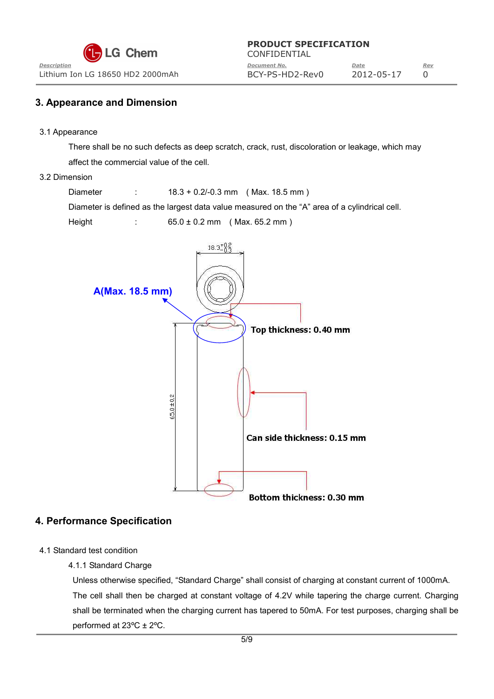| $\mathbf{G}$ LG Chem             | CONFIDENTIAL    |            |     |
|----------------------------------|-----------------|------------|-----|
| Description                      | Document No.    | Date       | Rev |
| Lithium Ion LG 18650 HD2 2000mAh | BCY-PS-HD2-Rev0 | 2012-05-17 |     |

#### **3. Appearance and Dimension**

3.1 Appearance

There shall be no such defects as deep scratch, crack, rust, discoloration or leakage, which may affect the commercial value of the cell.

#### 3.2 Dimension

Diameter : 18.3 + 0.2/-0.3 mm ( Max. 18.5 mm )

Diameter is defined as the largest data value measured on the "A" area of a cylindrical cell.

Height : 65.0 ± 0.2 mm ( Max. 65.2 mm )



#### **4. Performance Specification**

- 4.1 Standard test condition
	- 4.1.1 Standard Charge

Unless otherwise specified, "Standard Charge" shall consist of charging at constant current of 1000mA. The cell shall then be charged at constant voltage of 4.2V while tapering the charge current. Charging shall be terminated when the charging current has tapered to 50mA. For test purposes, charging shall be performed at 23ºC ± 2ºC.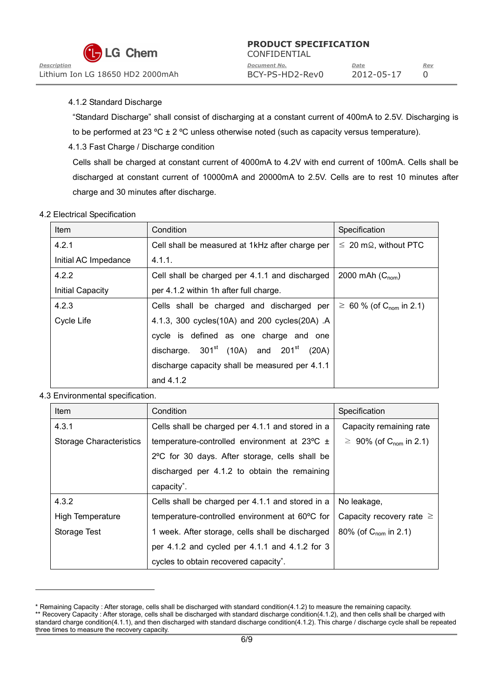CONFIDENTIAL *Description Document No. Date Rev* Lithium Ion LG 18650 HD2 2000mAh BCY-PS-HD2-Rev0 2012-05-17 0

#### 4.1.2 Standard Discharge

"Standard Discharge" shall consist of discharging at a constant current of 400mA to 2.5V. Discharging is to be performed at 23 °C  $\pm$  2 °C unless otherwise noted (such as capacity versus temperature).

#### 4.1.3 Fast Charge / Discharge condition

Cells shall be charged at constant current of 4000mA to 4.2V with end current of 100mA. Cells shall be discharged at constant current of 10000mA and 20000mA to 2.5V. Cells are to rest 10 minutes after charge and 30 minutes after discharge.

#### 4.2 Electrical Specification

| Item                    | Condition                                        | Specification                            |
|-------------------------|--------------------------------------------------|------------------------------------------|
| 4.2.1                   | Cell shall be measured at 1kHz after charge per  | $\leq 20$ m $\Omega$ , without PTC       |
| Initial AC Impedance    | 4.1.1.                                           |                                          |
| 4.2.2                   | Cell shall be charged per 4.1.1 and discharged   | 2000 mAh $(C_{nom})$                     |
| <b>Initial Capacity</b> | per 4.1.2 within 1h after full charge.           |                                          |
| 4.2.3                   | Cells shall be charged and discharged per        | $\geq 60$ % (of C <sub>nom</sub> in 2.1) |
| Cycle Life              | 4.1.3, 300 cycles (10A) and 200 cycles (20A) .A  |                                          |
|                         | cycle is defined as one charge and one           |                                          |
|                         | discharge. $301^{st}$ (10A) and $201^{st}$ (20A) |                                          |
|                         | discharge capacity shall be measured per 4.1.1   |                                          |
|                         | and 4.1.2                                        |                                          |

#### 4.3 Environmental specification.

| Item                           | Condition                                                  | Specification                            |
|--------------------------------|------------------------------------------------------------|------------------------------------------|
| 4.3.1                          | Cells shall be charged per 4.1.1 and stored in a           | Capacity remaining rate                  |
| <b>Storage Characteristics</b> | temperature-controlled environment at $23^{\circ}$ C $\pm$ | $\geq 90\%$ (of C <sub>nom</sub> in 2.1) |
|                                | 2°C for 30 days. After storage, cells shall be             |                                          |
|                                | discharged per 4.1.2 to obtain the remaining               |                                          |
|                                | capacity <sup>*</sup> .                                    |                                          |
| 4.3.2                          | Cells shall be charged per 4.1.1 and stored in a           | No leakage,                              |
| <b>High Temperature</b>        | temperature-controlled environment at 60°C for             | Capacity recovery rate $\geq$            |
| Storage Test                   | 1 week. After storage, cells shall be discharged           | 80% (of $C_{\text{nom}}$ in 2.1)         |
|                                | per 4.1.2 and cycled per 4.1.1 and 4.1.2 for 3             |                                          |
|                                | cycles to obtain recovered capacity <sup>*</sup> .         |                                          |

<sup>\*</sup> Remaining Capacity : After storage, cells shall be discharged with standard condition(4.1.2) to measure the remaining capacity. \*\* Recovery Capacity : After storage, cells shall be discharged with standard discharge condition(4.1.2), and then cells shall be charged with

standard charge condition(4.1.1), and then discharged with standard discharge condition(4.1.2). This charge / discharge cycle shall be repeated three times to measure the recovery capacity.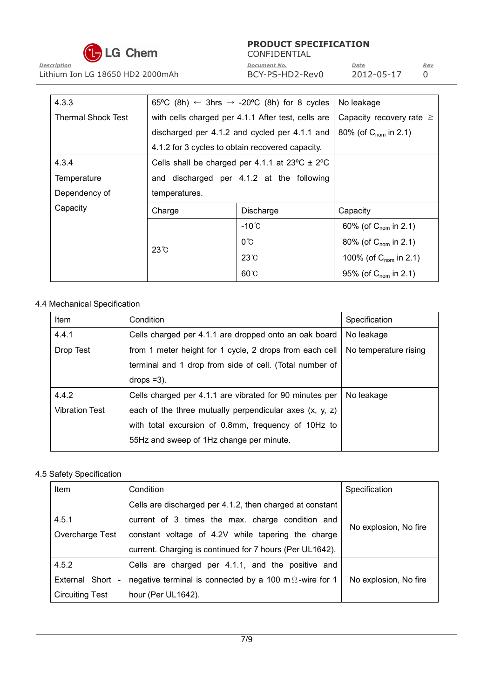

CONFIDENTIAL *Description Document No. Date Rev* Lithium Ion LG 18650 HD2 2000mAh BCY-PS-HD2-Rev0 2012-05-17 0

| 4.3.3                     |               | 65°C (8h) $\leftarrow$ 3hrs $\rightarrow$ -20°C (8h) for 8 cycles | No leakage                        |  |
|---------------------------|---------------|-------------------------------------------------------------------|-----------------------------------|--|
| <b>Thermal Shock Test</b> |               | with cells charged per 4.1.1 After test, cells are                | Capacity recovery rate $\geq$     |  |
|                           |               | discharged per 4.1.2 and cycled per 4.1.1 and                     | 80% (of $C_{\text{nom}}$ in 2.1)  |  |
|                           |               | 4.1.2 for 3 cycles to obtain recovered capacity.                  |                                   |  |
| 4.3.4                     |               | Cells shall be charged per 4.1.1 at $23^{\circ}$ C $\pm$ 2°C      |                                   |  |
| Temperature               |               | and discharged per 4.1.2 at the following                         |                                   |  |
| Dependency of             | temperatures. |                                                                   |                                   |  |
| Capacity                  | Charge        | Discharge                                                         | Capacity                          |  |
|                           |               | $-10^{\circ}$ C                                                   | 60% (of $C_{\text{nom}}$ in 2.1)  |  |
|                           | $23^\circ$ C  | $0^{\circ}$ C                                                     | 80% (of $C_{\text{nom}}$ in 2.1)  |  |
|                           |               | $23^\circ$                                                        | 100% (of $C_{\text{nom}}$ in 2.1) |  |
|                           |               |                                                                   |                                   |  |

#### 4.4 Mechanical Specification

| Item                  | Condition                                                 | Specification         |
|-----------------------|-----------------------------------------------------------|-----------------------|
| 4.4.1                 | Cells charged per 4.1.1 are dropped onto an oak board     | No leakage            |
| Drop Test             | from 1 meter height for 1 cycle, 2 drops from each cell   | No temperature rising |
|                       | terminal and 1 drop from side of cell. (Total number of   |                       |
|                       | $\text{drops} = 3$ ).                                     |                       |
| 4.4.2                 | Cells charged per 4.1.1 are vibrated for 90 minutes per   | No leakage            |
| <b>Vibration Test</b> | each of the three mutually perpendicular axes $(x, y, z)$ |                       |
|                       | with total excursion of 0.8mm, frequency of 10Hz to       |                       |
|                       | 55Hz and sweep of 1Hz change per minute.                  |                       |

#### 4.5 Safety Specification

| Item                   | Condition                                                      | Specification         |
|------------------------|----------------------------------------------------------------|-----------------------|
|                        | Cells are discharged per 4.1.2, then charged at constant       |                       |
| 4.5.1                  | current of 3 times the max. charge condition and               |                       |
| Overcharge Test        | constant voltage of 4.2V while tapering the charge             | No explosion, No fire |
|                        | current. Charging is continued for 7 hours (Per UL1642).       |                       |
| 4.5.2                  | Cells are charged per 4.1.1, and the positive and              |                       |
| External Short -       | negative terminal is connected by a 100 m $\Omega$ -wire for 1 | No explosion, No fire |
| <b>Circuiting Test</b> | hour (Per UL1642).                                             |                       |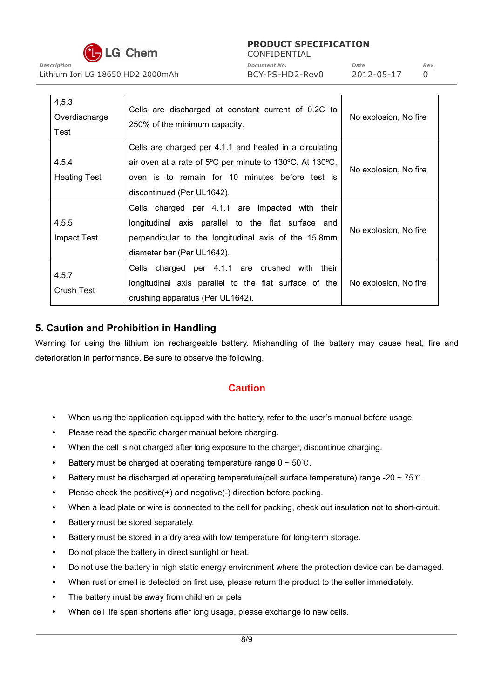

CONFIDENTIAL *Description Document No. Date Rev*

Lithium Ion LG 18650 HD2 2000mAh BCY-PS-HD2-Rev0 2012-05-17 0

| 4, 5.3<br>Overdischarge<br>Test | Cells are discharged at constant current of 0.2C to<br>250% of the minimum capacity.                                                                                                                 | No explosion, No fire |
|---------------------------------|------------------------------------------------------------------------------------------------------------------------------------------------------------------------------------------------------|-----------------------|
| 4.5.4<br><b>Heating Test</b>    | Cells are charged per 4.1.1 and heated in a circulating<br>air oven at a rate of 5°C per minute to 130°C. At 130°C,<br>oven is to remain for 10 minutes before test is<br>discontinued (Per UL1642). | No explosion, No fire |
| 4.5.5<br><b>Impact Test</b>     | Cells charged per 4.1.1 are impacted with their<br>longitudinal axis parallel to the flat surface and<br>perpendicular to the longitudinal axis of the 15.8mm<br>diameter bar (Per UL1642).          | No explosion, No fire |
| 4.5.7<br><b>Crush Test</b>      | Cells charged per 4.1.1 are crushed with<br>their<br>longitudinal axis parallel to the flat surface of the<br>crushing apparatus (Per UL1642).                                                       | No explosion, No fire |

### **5. Caution and Prohibition in Handling**

Warning for using the lithium ion rechargeable battery. Mishandling of the battery may cause heat, fire and deterioration in performance. Be sure to observe the following.

# **Caution**

- When using the application equipped with the battery, refer to the user's manual before usage.
- Please read the specific charger manual before charging.
- When the cell is not charged after long exposure to the charger, discontinue charging.
- Battery must be charged at operating temperature range  $0 \sim 50^{\circ}$ C.
- Battery must be discharged at operating temperature(cell surface temperature) range -20 ~ 75  $\degree$ C.
- Please check the positive(+) and negative(-) direction before packing.
- When a lead plate or wire is connected to the cell for packing, check out insulation not to short-circuit.
- Battery must be stored separately.
- Battery must be stored in a dry area with low temperature for long-term storage.
- Do not place the battery in direct sunlight or heat.
- Do not use the battery in high static energy environment where the protection device can be damaged.
- When rust or smell is detected on first use, please return the product to the seller immediately.
- The battery must be away from children or pets
- When cell life span shortens after long usage, please exchange to new cells.